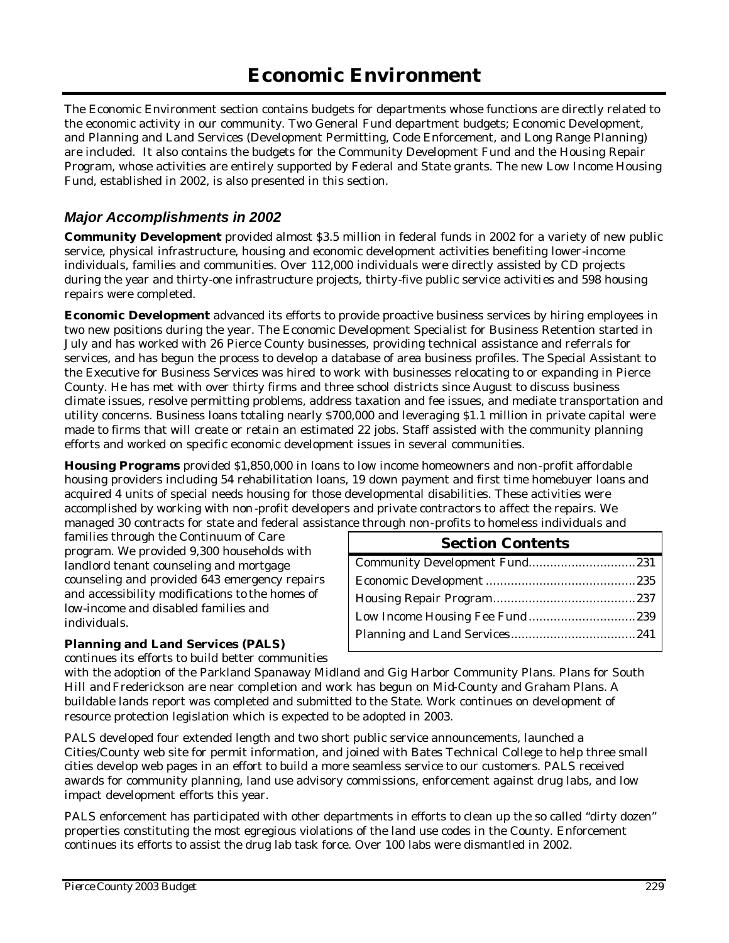The Economic Environment section contains budgets for departments whose functions are directly related to the economic activity in our community. Two General Fund department budgets; Economic Development, and Planning and Land Services (Development Permitting, Code Enforcement, and Long Range Planning) are included. It also contains the budgets for the Community Development Fund and the Housing Repair Program, whose activities are entirely supported by Federal and State grants. The new Low Income Housing Fund, established in 2002, is also presented in this section.

### *Major Accomplishments in 2002*

**Community Development** provided almost \$3.5 million in federal funds in 2002 for a variety of new public service, physical infrastructure, housing and economic development activities benefiting lower-income individuals, families and communities. Over 112,000 individuals were directly assisted by CD projects during the year and thirty-one infrastructure projects, thirty-five public service activities and 598 housing repairs were completed.

**Economic Development** advanced its efforts to provide proactive business services by hiring employees in two new positions during the year. The Economic Development Specialist for Business Retention started in July and has worked with 26 Pierce County businesses, providing technical assistance and referrals for services, and has begun the process to develop a database of area business profiles. The Special Assistant to the Executive for Business Services was hired to work with businesses relocating to or expanding in Pierce County. He has met with over thirty firms and three school districts since August to discuss business climate issues, resolve permitting problems, address taxation and fee issues, and mediate transportation and utility concerns. Business loans totaling nearly \$700,000 and leveraging \$1.1 million in private capital were made to firms that will create or retain an estimated 22 jobs. Staff assisted with the community planning efforts and worked on specific economic development issues in several communities.

**Housing Programs** provided \$1,850,000 in loans to low income homeowners and non-profit affordable housing providers including 54 rehabilitation loans, 19 down payment and first time homebuyer loans and acquired 4 units of special needs housing for those developmental disabilities. These activities were accomplished by working with non -profit developers and private contractors to affect the repairs. We managed 30 contracts for state and federal assistance through non-profits to homeless individuals and

families through the Continuum of Care program. We provided 9,300 households with landlord tenant counseling and mortgage counseling and provided 643 emergency repairs and accessibility modifications to the homes of low-income and disabled families and individuals.

## **Planning and Land Services (PALS)**

continues its efforts to build better communities

with the adoption of the Parkland Spanaway Midland and Gig Harbor Community Plans. Plans for South Hill and Frederickson are near completion and work has begun on Mid-County and Graham Plans. A buildable lands report was completed and submitted to the State. Work continues on development of resource protection legislation which is expected to be adopted in 2003.

PALS developed four extended length and two short public service announcements, launched a Cities/County web site for permit information, and joined with Bates Technical College to help three small cities develop web pages in an effort to build a more seamless service to our customers. PALS received awards for community planning, land use advisory commissions, enforcement against drug labs, and low impact development efforts this year.

PALS enforcement has participated with other departments in efforts to clean up the so called "dirty dozen" properties constituting the most egregious violations of the land use codes in the County. Enforcement continues its efforts to assist the drug lab task force. Over 100 labs were dismantled in 2002.

| <b>Section Contents</b>       |  |
|-------------------------------|--|
| Community Development Fund231 |  |
|                               |  |
|                               |  |
|                               |  |
|                               |  |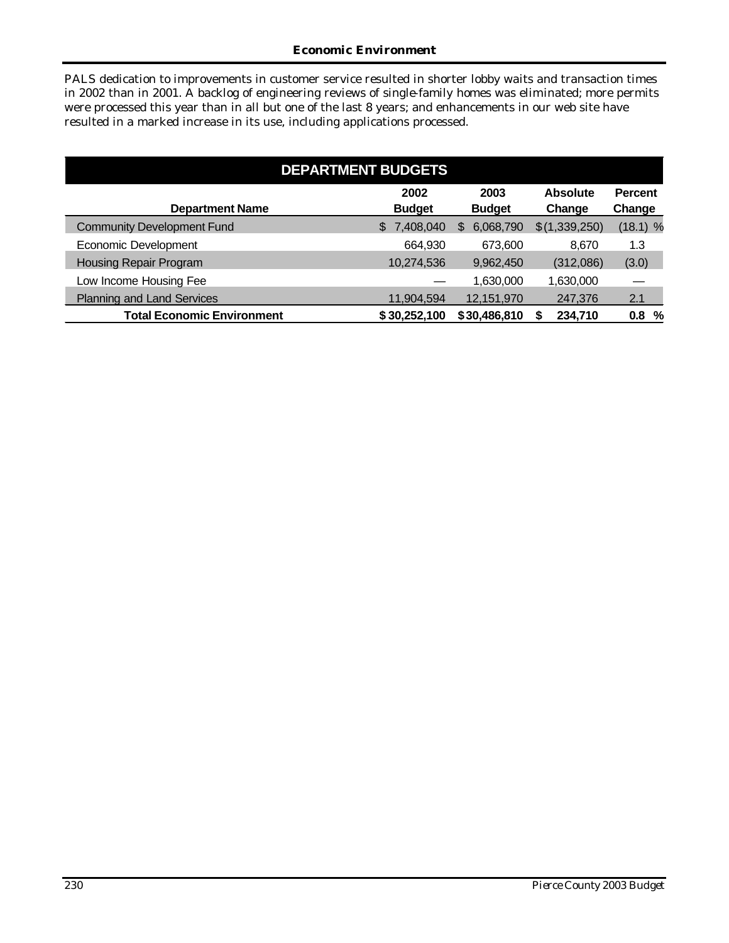#### *Economic Environment*

PALS dedication to improvements in customer service resulted in shorter lobby waits and transaction times in 2002 than in 2001. A backlog of engineering reviews of single-family homes was eliminated; more permits were processed this year than in all but one of the last 8 years; and enhancements in our web site have resulted in a marked increase in its use, including applications processed.

| <b>DEPARTMENT BUDGETS</b>         |                       |                       |                           |                          |  |  |  |  |  |  |
|-----------------------------------|-----------------------|-----------------------|---------------------------|--------------------------|--|--|--|--|--|--|
| <b>Department Name</b>            | 2002<br><b>Budget</b> | 2003<br><b>Budget</b> | <b>Absolute</b><br>Change | <b>Percent</b><br>Change |  |  |  |  |  |  |
| <b>Community Development Fund</b> | 7,408,040<br>\$       | 6,068,790<br>S        | \$(1,339,250)             | $(18.1)$ %               |  |  |  |  |  |  |
| Economic Development              | 664,930               | 673,600               | 8.670                     | 1.3                      |  |  |  |  |  |  |
| <b>Housing Repair Program</b>     | 10,274,536            | 9,962,450             | (312,086)                 | (3.0)                    |  |  |  |  |  |  |
| Low Income Housing Fee            |                       | 1,630,000             | 1,630,000                 |                          |  |  |  |  |  |  |
| <b>Planning and Land Services</b> | 11,904,594            | 12,151,970            | 247,376                   | 2.1                      |  |  |  |  |  |  |
| <b>Total Economic Environment</b> | \$30,252,100          | \$30,486,810          | 234,710                   | 0.8%                     |  |  |  |  |  |  |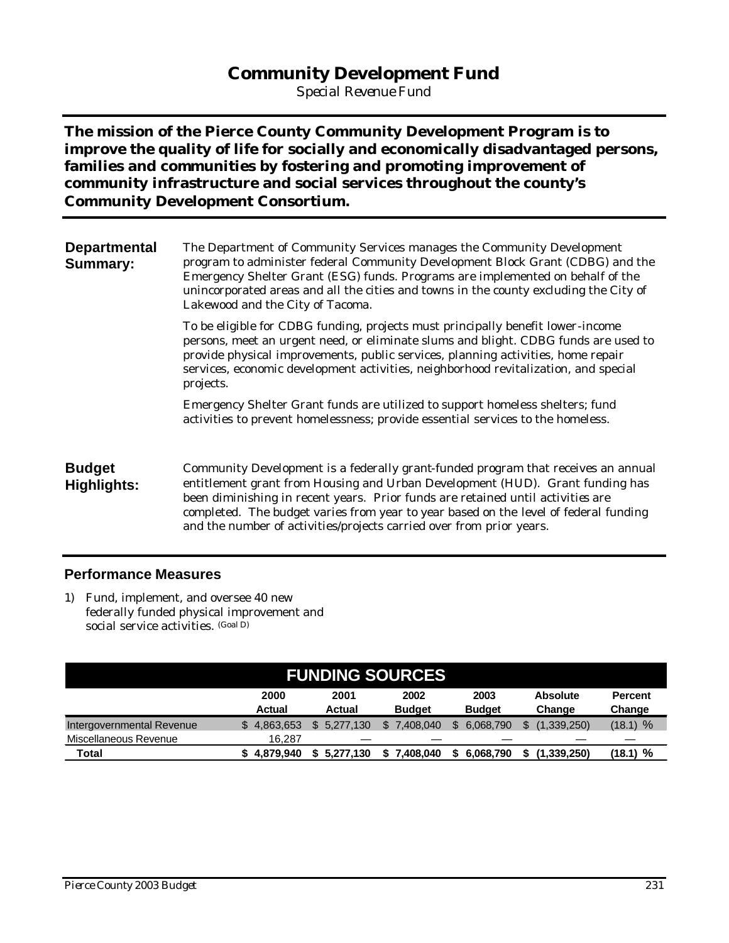## **Community Development Fund**

*Special Revenue Fund*

**The mission of the Pierce County Community Development Program is to improve the quality of life for socially and economically disadvantaged persons, families and communities by fostering and promoting improvement of community infrastructure and social services throughout the county's Community Development Consortium.**

| <b>Departmental</b><br><b>Summary:</b> | The Department of Community Services manages the Community Development<br>program to administer federal Community Development Block Grant (CDBG) and the<br>Emergency Shelter Grant (ESG) funds. Programs are implemented on behalf of the<br>unincorporated areas and all the cities and towns in the county excluding the City of<br>Lakewood and the City of Tacoma.                                               |
|----------------------------------------|-----------------------------------------------------------------------------------------------------------------------------------------------------------------------------------------------------------------------------------------------------------------------------------------------------------------------------------------------------------------------------------------------------------------------|
|                                        | To be eligible for CDBG funding, projects must principally benefit lower-income<br>persons, meet an urgent need, or eliminate slums and blight. CDBG funds are used to<br>provide physical improvements, public services, planning activities, home repair<br>services, economic development activities, neighborhood revitalization, and special<br>projects.                                                        |
|                                        | Emergency Shelter Grant funds are utilized to support homeless shelters; fund<br>activities to prevent homelessness; provide essential services to the homeless.                                                                                                                                                                                                                                                      |
| <b>Budget</b><br><b>Highlights:</b>    | Community Development is a federally grant-funded program that receives an annual<br>entitlement grant from Housing and Urban Development (HUD). Grant funding has<br>been diminishing in recent years. Prior funds are retained until activities are<br>completed. The budget varies from year to year based on the level of federal funding<br>and the number of activities/projects carried over from prior years. |

#### **Performance Measures**

1) Fund, implement, and oversee 40 new federally funded physical improvement and social service activities. (Goal D)

| <b>FUNDING SOURCES</b>    |                       |                |                       |                       |                           |                          |  |  |  |  |  |
|---------------------------|-----------------------|----------------|-----------------------|-----------------------|---------------------------|--------------------------|--|--|--|--|--|
|                           | 2000<br><b>Actual</b> | 2001<br>Actual | 2002<br><b>Budget</b> | 2003<br><b>Budget</b> | <b>Absolute</b><br>Change | <b>Percent</b><br>Change |  |  |  |  |  |
| Intergovernmental Revenue | 4,863,653             | 5.277.130      | 7.408.040             | 6.068.790             | (1.339.250)               | $(18.1)$ %               |  |  |  |  |  |
| Miscellaneous Revenue     | 16.287                |                |                       |                       |                           |                          |  |  |  |  |  |
| Total                     | \$4.879.940           | 5.277.130      | 7.408.040             | 6.068.790             | (1,339,250)               | (18.1) %                 |  |  |  |  |  |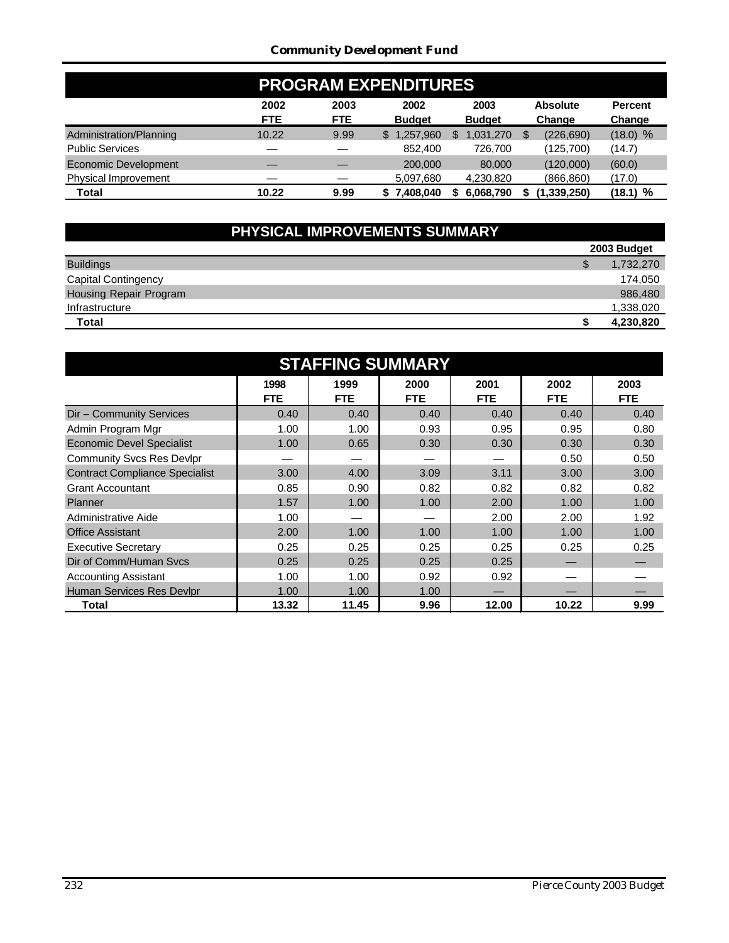#### *Community Development Fund*

|                         | <b>PROGRAM EXPENDITURES</b> |                    |                       |                       |                           |                          |  |  |  |  |
|-------------------------|-----------------------------|--------------------|-----------------------|-----------------------|---------------------------|--------------------------|--|--|--|--|
|                         | 2002<br><b>FTE</b>          | 2003<br><b>FTE</b> | 2002<br><b>Budget</b> | 2003<br><b>Budget</b> | <b>Absolute</b><br>Change | <b>Percent</b><br>Change |  |  |  |  |
| Administration/Planning | 10.22                       | 9.99               | \$1,257,960           | 1,031,270             | (226, 690)<br>S.          | (18.0) %                 |  |  |  |  |
| <b>Public Services</b>  |                             |                    | 852,400               | 726,700               | (125,700)                 | (14.7)                   |  |  |  |  |
| Economic Development    |                             |                    | 200,000               | 80,000                | (120,000)                 | (60.0)                   |  |  |  |  |
| Physical Improvement    |                             |                    | 5,097,680             | 4,230,820             | (866, 860)                | (17.0)                   |  |  |  |  |
| Total                   | 10.22                       | 9.99               | 7.408.040             | 6,068,790             | (1,339,250)               | (18.1) %                 |  |  |  |  |

# **PHYSICAL IMPROVEMENTS SUMMARY**

|                               | 2003 Budget |
|-------------------------------|-------------|
| <b>Buildings</b>              | 1,732,270   |
| <b>Capital Contingency</b>    | 174.050     |
| <b>Housing Repair Program</b> | 986,480     |
| Infrastructure                | 1,338,020   |
| Total                         | 4,230,820   |

| <b>STAFFING SUMMARY</b>               |                    |                    |                    |                    |                    |                    |  |  |  |  |  |  |
|---------------------------------------|--------------------|--------------------|--------------------|--------------------|--------------------|--------------------|--|--|--|--|--|--|
|                                       | 1998<br><b>FTE</b> | 1999<br><b>FTE</b> | 2000<br><b>FTE</b> | 2001<br><b>FTE</b> | 2002<br><b>FTE</b> | 2003<br><b>FTE</b> |  |  |  |  |  |  |
| Dir - Community Services              | 0.40               | 0.40               | 0.40               | 0.40               | 0.40               | 0.40               |  |  |  |  |  |  |
| Admin Program Mgr                     | 1.00               | 1.00               | 0.93               | 0.95               | 0.95               | 0.80               |  |  |  |  |  |  |
| <b>Economic Devel Specialist</b>      | 1.00               | 0.65               | 0.30               | 0.30               | 0.30               | 0.30               |  |  |  |  |  |  |
| <b>Community Svcs Res Devlpr</b>      |                    |                    |                    |                    | 0.50               | 0.50               |  |  |  |  |  |  |
| <b>Contract Compliance Specialist</b> | 3.00               | 4.00               | 3.09               | 3.11               | 3.00               | 3.00               |  |  |  |  |  |  |
| <b>Grant Accountant</b>               | 0.85               | 0.90               | 0.82               | 0.82               | 0.82               | 0.82               |  |  |  |  |  |  |
| Planner                               | 1.57               | 1.00               | 1.00               | 2.00               | 1.00               | 1.00               |  |  |  |  |  |  |
| Administrative Aide                   | 1.00               |                    |                    | 2.00               | 2.00               | 1.92               |  |  |  |  |  |  |
| <b>Office Assistant</b>               | 2.00               | 1.00               | 1.00               | 1.00               | 1.00               | 1.00               |  |  |  |  |  |  |
| <b>Executive Secretary</b>            | 0.25               | 0.25               | 0.25               | 0.25               | 0.25               | 0.25               |  |  |  |  |  |  |
| Dir of Comm/Human Sycs                | 0.25               | 0.25               | 0.25               | 0.25               |                    |                    |  |  |  |  |  |  |
| <b>Accounting Assistant</b>           | 1.00               | 1.00               | 0.92               | 0.92               |                    |                    |  |  |  |  |  |  |
| Human Services Res Devlpr             | 1.00               | 1.00               | 1.00               |                    |                    |                    |  |  |  |  |  |  |
| Total                                 | 13.32              | 11.45              | 9.96               | 12.00              | 10.22              | 9.99               |  |  |  |  |  |  |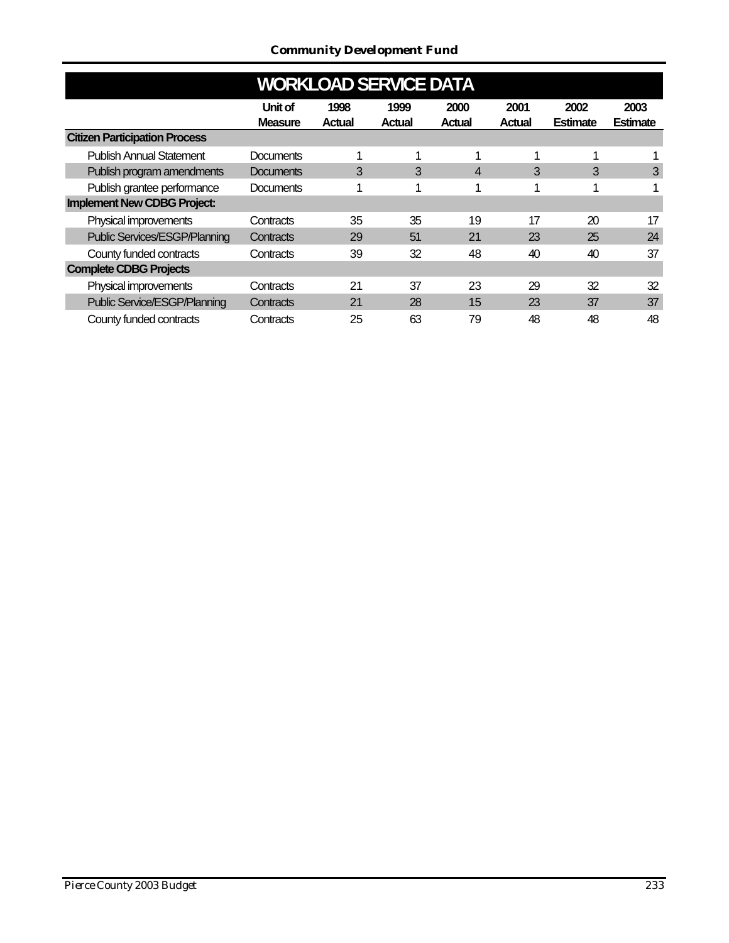| <b>WORKLOAD SERVICE DATA</b>         |                           |                |                       |                |                |                         |                         |  |  |  |  |  |  |
|--------------------------------------|---------------------------|----------------|-----------------------|----------------|----------------|-------------------------|-------------------------|--|--|--|--|--|--|
|                                      | Unit of<br><b>Measure</b> | 1998<br>Actual | 1999<br><b>Actual</b> | 2000<br>Actual | 2001<br>Actual | 2002<br><b>Estimate</b> | 2003<br><b>Estimate</b> |  |  |  |  |  |  |
| <b>Citizen Participation Process</b> |                           |                |                       |                |                |                         |                         |  |  |  |  |  |  |
| <b>Publish Annual Statement</b>      | <b>Documents</b>          | 1              | 1                     | 1              |                | ٠                       |                         |  |  |  |  |  |  |
| Publish program amendments           | <b>Documents</b>          | 3              | 3                     | $\overline{4}$ | 3              | 3                       | 3                       |  |  |  |  |  |  |
| Publish grantee performance          | <b>Documents</b>          | 1              | 1                     | 1              |                | 4                       |                         |  |  |  |  |  |  |
| <b>Implement New CDBG Project:</b>   |                           |                |                       |                |                |                         |                         |  |  |  |  |  |  |
| Physical improvements                | Contracts                 | 35             | 35                    | 19             | 17             | 20                      | 17                      |  |  |  |  |  |  |
| <b>Public Services/ESGP/Planning</b> | Contracts                 | 29             | 51                    | 21             | 23             | 25                      | 24                      |  |  |  |  |  |  |
| County funded contracts              | Contracts                 | 39             | 32                    | 48             | 40             | 40                      | 37                      |  |  |  |  |  |  |
| <b>Complete CDBG Projects</b>        |                           |                |                       |                |                |                         |                         |  |  |  |  |  |  |
| Physical improvements                | Contracts                 | 21             | 37                    | 23             | 29             | 32                      | 32                      |  |  |  |  |  |  |
| <b>Public Service/ESGP/Planning</b>  | Contracts                 | 21             | 28                    | 15             | 23             | 37                      | 37                      |  |  |  |  |  |  |
| County funded contracts              | Contracts                 | 25             | 63                    | 79             | 48             | 48                      | 48                      |  |  |  |  |  |  |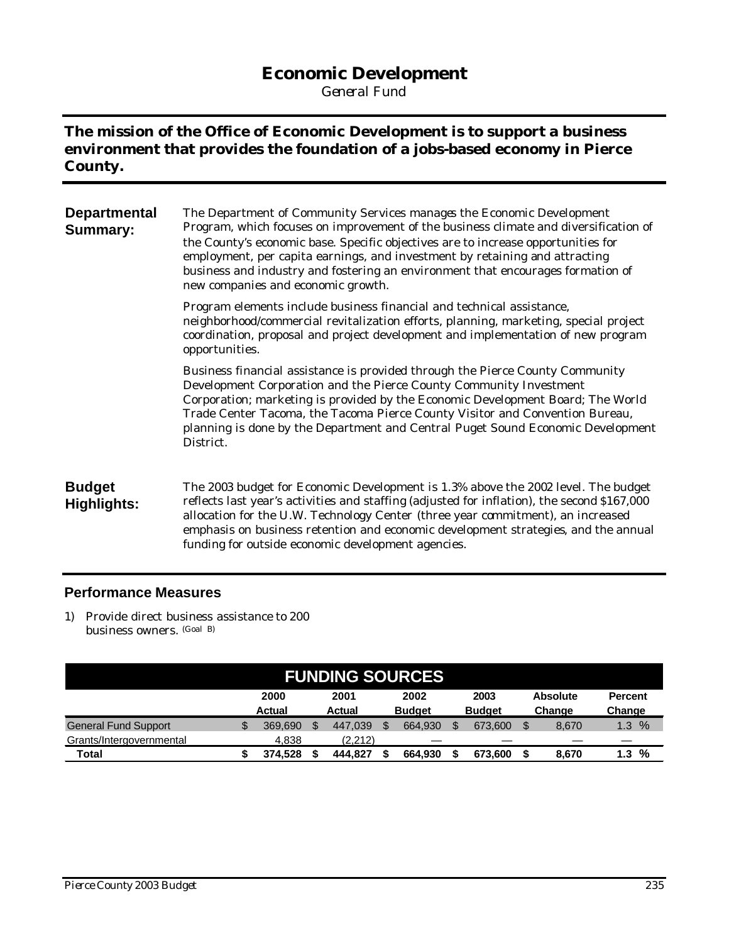# **Economic Development**

*General Fund*

## **The mission of the Office of Economic Development is to support a business environment that provides the foundation of a jobs-based economy in Pierce County.**

| <b>Departmental</b><br><b>Summary:</b> | The Department of Community Services manages the Economic Development<br>Program, which focuses on improvement of the business climate and diversification of<br>the County's economic base. Specific objectives are to increase opportunities for<br>employment, per capita earnings, and investment by retaining and attracting<br>business and industry and fostering an environment that encourages formation of<br>new companies and economic growth. |
|----------------------------------------|------------------------------------------------------------------------------------------------------------------------------------------------------------------------------------------------------------------------------------------------------------------------------------------------------------------------------------------------------------------------------------------------------------------------------------------------------------|
|                                        | Program elements include business financial and technical assistance,<br>neighborhood/commercial revitalization efforts, planning, marketing, special project<br>coordination, proposal and project development and implementation of new program<br>opportunities.                                                                                                                                                                                        |
|                                        | Business financial assistance is provided through the Pierce County Community<br>Development Corporation and the Pierce County Community Investment<br>Corporation; marketing is provided by the Economic Development Board; The World<br>Trade Center Tacoma, the Tacoma Pierce County Visitor and Convention Bureau,<br>planning is done by the Department and Central Puget Sound Economic Development<br>District.                                     |
| <b>Budget</b><br><b>Highlights:</b>    | The 2003 budget for Economic Development is 1.3% above the 2002 level. The budget<br>reflects last year's activities and staffing (adjusted for inflation), the second \$167,000<br>allocation for the U.W. Technology Center (three year commitment), an increased<br>emphasis on business retention and economic development strategies, and the annual<br>funding for outside economic development agencies.                                            |

#### **Performance Measures**

1) Provide direct business assistance to 200 business owners. (Goal B)

| <b>FUNDING SOURCES</b>      |  |                       |  |                |  |                       |  |                       |  |                           |                          |
|-----------------------------|--|-----------------------|--|----------------|--|-----------------------|--|-----------------------|--|---------------------------|--------------------------|
|                             |  | 2000<br><b>Actual</b> |  | 2001<br>Actual |  | 2002<br><b>Budget</b> |  | 2003<br><b>Budget</b> |  | <b>Absolute</b><br>Change | <b>Percent</b><br>Change |
| <b>General Fund Support</b> |  | 369.690               |  | 447.039        |  | 664.930               |  | 673,600               |  | 8.670                     | $\%$<br>1.3              |
| Grants/Intergovernmental    |  | 4.838                 |  | (2.212)        |  |                       |  |                       |  |                           |                          |
| Total                       |  | 374.528               |  | 444.827        |  | 664.930               |  | 673.600               |  | 8,670                     | %<br>1.3                 |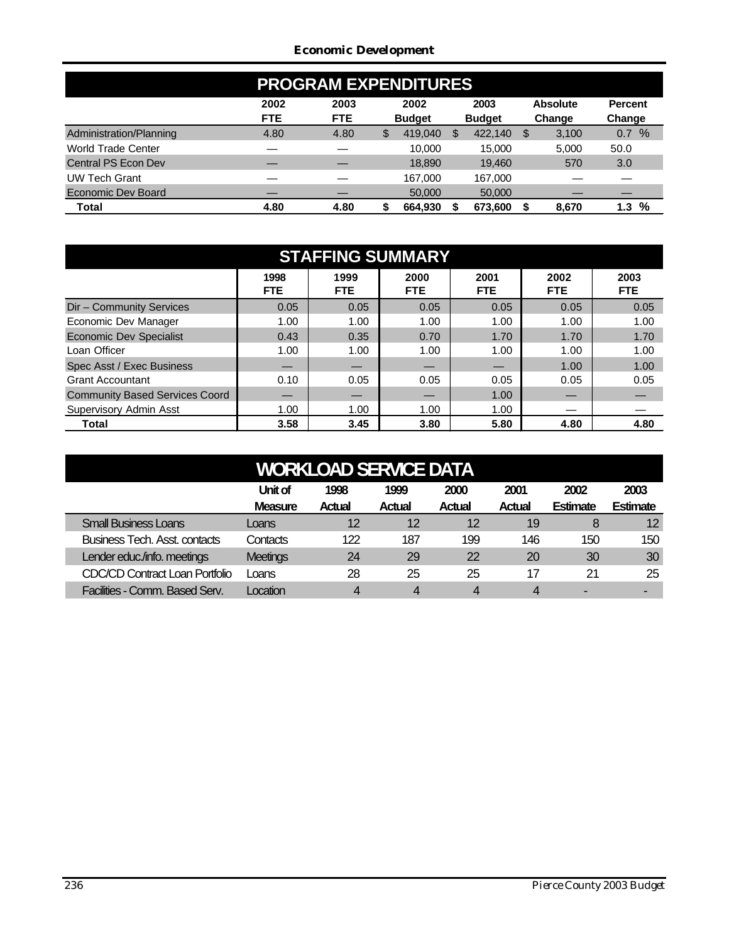#### *Economic Development*

| <b>PROGRAM EXPENDITURES</b> |                    |                    |    |                       |    |                       |   |                           |                          |  |  |
|-----------------------------|--------------------|--------------------|----|-----------------------|----|-----------------------|---|---------------------------|--------------------------|--|--|
|                             | 2002<br><b>FTE</b> | 2003<br><b>FTE</b> |    | 2002<br><b>Budget</b> |    | 2003<br><b>Budget</b> |   | <b>Absolute</b><br>Change | <b>Percent</b><br>Change |  |  |
| Administration/Planning     | 4.80               | 4.80               | \$ | 419,040               | \$ | 422,140               | S | 3,100                     | %<br>0.7                 |  |  |
| World Trade Center          |                    |                    |    | 10.000                |    | 15.000                |   | 5,000                     | 50.0                     |  |  |
| Central PS Econ Dev         |                    |                    |    | 18,890                |    | 19.460                |   | 570                       | 3.0                      |  |  |
| <b>UW Tech Grant</b>        |                    |                    |    | 167.000               |    | 167,000               |   |                           |                          |  |  |
| Economic Dev Board          |                    |                    |    | 50,000                |    | 50,000                |   |                           |                          |  |  |
| Total                       | 4.80               | 4.80               | S  | 664.930               |    | 673.600               |   | 8.670                     | %<br>1.3                 |  |  |

| <b>STAFFING SUMMARY</b>               |              |              |              |                    |              |                    |  |  |  |  |  |  |
|---------------------------------------|--------------|--------------|--------------|--------------------|--------------|--------------------|--|--|--|--|--|--|
|                                       | 1998<br>FTE. | 1999<br>FTE. | 2000<br>FTE. | 2001<br><b>FTE</b> | 2002<br>FTE. | 2003<br><b>FTE</b> |  |  |  |  |  |  |
| Dir - Community Services              | 0.05         | 0.05         | 0.05         | 0.05               | 0.05         | 0.05               |  |  |  |  |  |  |
| Economic Dev Manager                  | 1.00         | 1.00         | 1.00         | 1.00               | 1.00         | 1.00               |  |  |  |  |  |  |
| <b>Economic Dev Specialist</b>        | 0.43         | 0.35         | 0.70         | 1.70               | 1.70         | 1.70               |  |  |  |  |  |  |
| Loan Officer                          | 1.00         | 1.00         | 1.00         | 1.00               | 1.00         | 1.00               |  |  |  |  |  |  |
| Spec Asst / Exec Business             |              |              |              |                    | 1.00         | 1.00               |  |  |  |  |  |  |
| <b>Grant Accountant</b>               | 0.10         | 0.05         | 0.05         | 0.05               | 0.05         | 0.05               |  |  |  |  |  |  |
| <b>Community Based Services Coord</b> |              |              |              | 1.00               |              |                    |  |  |  |  |  |  |
| Supervisory Admin Asst                | 1.00         | 1.00         | 1.00         | 1.00               |              |                    |  |  |  |  |  |  |
| Total                                 | 3.58         | 3.45         | 3.80         | 5.80               | 4.80         | 4.80               |  |  |  |  |  |  |

| <b>WORKLOAD SERVICE DATA</b>                                                                                                                                                 |                 |     |     |           |     |     |     |  |  |  |  |  |
|------------------------------------------------------------------------------------------------------------------------------------------------------------------------------|-----------------|-----|-----|-----------|-----|-----|-----|--|--|--|--|--|
| Unit of<br>2001<br>1999<br>2000<br>2002<br>2003<br>1998<br><b>Estimate</b><br><b>Estimate</b><br><b>Measure</b><br><b>Actual</b><br><b>Actual</b><br>Actual<br><b>Actual</b> |                 |     |     |           |     |     |     |  |  |  |  |  |
| <b>Small Business Loans</b>                                                                                                                                                  | Loans           | 12  | 12  | 12        | 19  | 8   | 12  |  |  |  |  |  |
| <b>Business Tech. Asst. contacts</b>                                                                                                                                         | Contacts        | 122 | 187 | 199       | 146 | 150 | 150 |  |  |  |  |  |
| Lender educ./info. meetings                                                                                                                                                  | <b>Meetings</b> | 24  | 29  | 22        | 20  | 30  | 30  |  |  |  |  |  |
| <b>CDC/CD Contract Loan Portfolio</b>                                                                                                                                        | Loans           | 28  | 25  | 25        | 17  | 21  | 25  |  |  |  |  |  |
| Facilities - Comm. Based Serv.                                                                                                                                               | ocation         | 4   | 4   | $\Lambda$ | 4   |     | -   |  |  |  |  |  |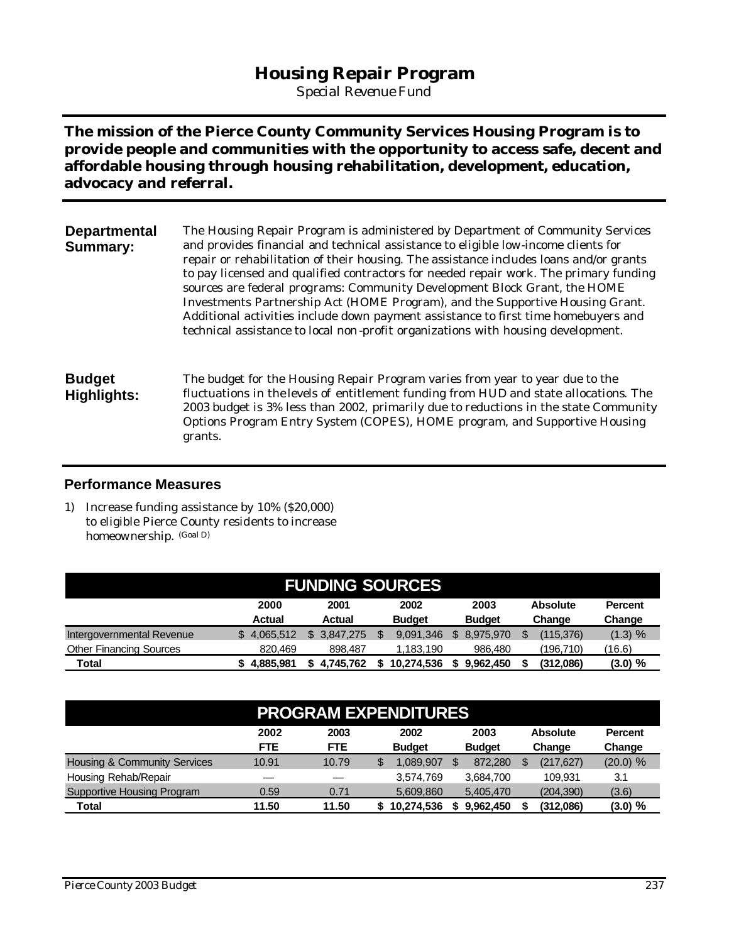## **Housing Repair Program**

*Special Revenue Fund*

**The mission of the Pierce County Community Services Housing Program is to provide people and communities with the opportunity to access safe, decent and affordable housing through housing rehabilitation, development, education, advocacy and referral.**

| <b>Departmental</b><br><b>Summary:</b> | The Housing Repair Program is administered by Department of Community Services<br>and provides financial and technical assistance to eligible low-income clients for<br>repair or rehabilitation of their housing. The assistance includes loans and/or grants<br>to pay licensed and qualified contractors for needed repair work. The primary funding<br>sources are federal programs: Community Development Block Grant, the HOME<br>Investments Partnership Act (HOME Program), and the Supportive Housing Grant.<br>Additional activities include down payment assistance to first time homebuyers and<br>technical assistance to local non-profit organizations with housing development. |
|----------------------------------------|-------------------------------------------------------------------------------------------------------------------------------------------------------------------------------------------------------------------------------------------------------------------------------------------------------------------------------------------------------------------------------------------------------------------------------------------------------------------------------------------------------------------------------------------------------------------------------------------------------------------------------------------------------------------------------------------------|
| <b>Budget</b><br>Highlights:           | The budget for the Housing Repair Program varies from year to year due to the<br>fluctuations in the levels of entitlement funding from HUD and state allocations. The<br>2003 budget is 3% less than 2002, primarily due to reductions in the state Community<br>Options Program Entry System (COPES), HOME program, and Supportive Housing<br>grants.                                                                                                                                                                                                                                                                                                                                         |

#### **Performance Measures**

1) Increase funding assistance by 10% (\$20,000) to eligible Pierce County residents to increase homeownership. (Goal D)

| <b>FUNDING SOURCES</b>                                                                                                               |             |           |            |           |           |         |  |  |  |  |  |
|--------------------------------------------------------------------------------------------------------------------------------------|-------------|-----------|------------|-----------|-----------|---------|--|--|--|--|--|
| 2002<br>2000<br>2001<br>2003<br><b>Absolute</b><br>Percent<br><b>Budget</b><br><b>Budget</b><br>Actual<br>Change<br>Actual<br>Change |             |           |            |           |           |         |  |  |  |  |  |
| Intergovernmental Revenue                                                                                                            | 4.065.512   | 3.847.275 | 9.091.346  | 8.975.970 | (115,376) | (1.3) % |  |  |  |  |  |
| <b>Other Financing Sources</b>                                                                                                       | 820,469     | 898,487   | 1.183.190  | 986,480   | (196,710) | (16.6)  |  |  |  |  |  |
| <b>Total</b>                                                                                                                         | \$4.885.981 | 4.745.762 | 10.274.536 | 9.962.450 | (312,086) | (3.0) % |  |  |  |  |  |

|                                         | <b>PROGRAM EXPENDITURES</b> |                    |                       |                       |                           |                          |  |  |  |  |  |
|-----------------------------------------|-----------------------------|--------------------|-----------------------|-----------------------|---------------------------|--------------------------|--|--|--|--|--|
|                                         | 2002<br><b>FTE</b>          | 2003<br><b>FTE</b> | 2002<br><b>Budget</b> | 2003<br><b>Budget</b> | <b>Absolute</b><br>Change | <b>Percent</b><br>Change |  |  |  |  |  |
| <b>Housing &amp; Community Services</b> | 10.91                       | 10.79              | .089.907              | 872.280               | (217, 627)                | (20.0) %                 |  |  |  |  |  |
| Housing Rehab/Repair                    |                             |                    | 3.574.769             | 3.684.700             | 109.931                   | 3.1                      |  |  |  |  |  |
| <b>Supportive Housing Program</b>       | 0.59                        | 0.71               | 5,609,860             | 5,405,470             | (204, 390)                | (3.6)                    |  |  |  |  |  |
| Total                                   | 11.50                       | 11.50              | 10,274,536            | 9.962.450             | (312,086)                 | $(3.0) \%$               |  |  |  |  |  |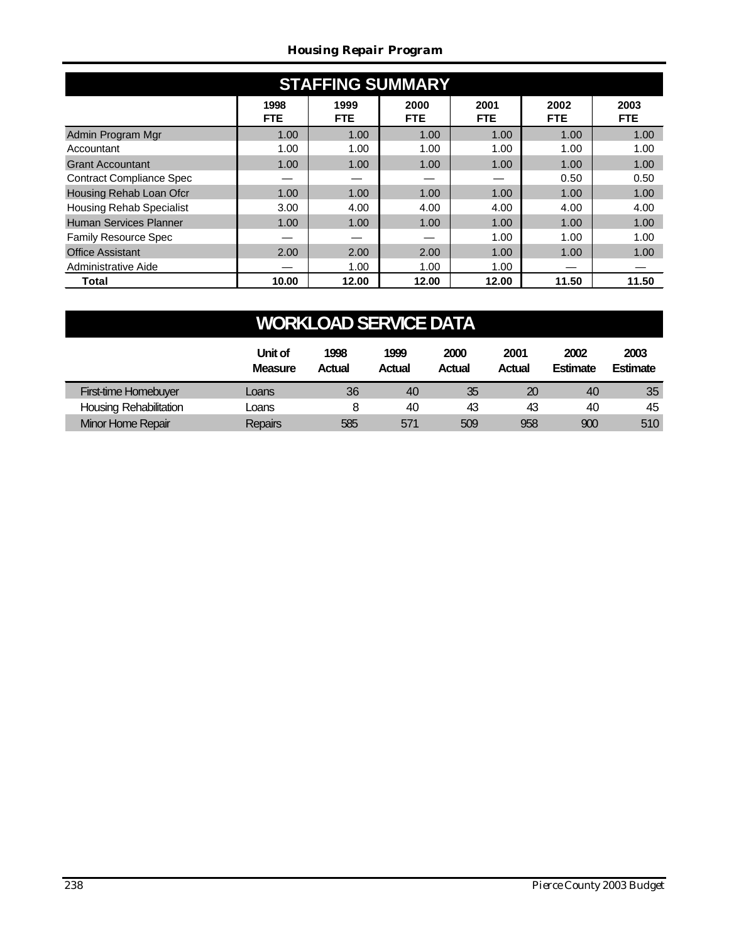#### *Housing Repair Program*

| <b>STAFFING SUMMARY</b>         |                    |              |                    |                    |                    |                    |  |  |  |  |  |
|---------------------------------|--------------------|--------------|--------------------|--------------------|--------------------|--------------------|--|--|--|--|--|
|                                 | 1998<br><b>FTE</b> | 1999<br>FTE. | 2000<br><b>FTE</b> | 2001<br><b>FTE</b> | 2002<br><b>FTE</b> | 2003<br><b>FTE</b> |  |  |  |  |  |
| Admin Program Mgr               | 1.00               | 1.00         | 1.00               | 1.00               | 1.00               | 1.00               |  |  |  |  |  |
| Accountant                      | 1.00               | 1.00         | 1.00               | 1.00               | 1.00               | 1.00               |  |  |  |  |  |
| <b>Grant Accountant</b>         | 1.00               | 1.00         | 1.00               | 1.00               | 1.00               | 1.00               |  |  |  |  |  |
| <b>Contract Compliance Spec</b> |                    |              |                    |                    | 0.50               | 0.50               |  |  |  |  |  |
| Housing Rehab Loan Ofcr         | 1.00               | 1.00         | 1.00               | 1.00               | 1.00               | 1.00               |  |  |  |  |  |
| <b>Housing Rehab Specialist</b> | 3.00               | 4.00         | 4.00               | 4.00               | 4.00               | 4.00               |  |  |  |  |  |
| <b>Human Services Planner</b>   | 1.00               | 1.00         | 1.00               | 1.00               | 1.00               | 1.00               |  |  |  |  |  |
| <b>Family Resource Spec</b>     |                    |              |                    | 1.00               | 1.00               | 1.00               |  |  |  |  |  |
| <b>Office Assistant</b>         | 2.00               | 2.00         | 2.00               | 1.00               | 1.00               | 1.00               |  |  |  |  |  |
| Administrative Aide             |                    | 1.00         | 1.00               | 1.00               |                    |                    |  |  |  |  |  |
| Total                           | 10.00              | 12.00        | 12.00              | 12.00              | 11.50              | 11.50              |  |  |  |  |  |

| <b>WORKLOAD SERVICE DATA</b>                                                                                                                                                 |                |     |     |     |     |     |     |  |  |  |  |
|------------------------------------------------------------------------------------------------------------------------------------------------------------------------------|----------------|-----|-----|-----|-----|-----|-----|--|--|--|--|
| Unit of<br>1999<br>2000<br>2001<br>2002<br>2003<br>1998<br><b>Estimate</b><br><b>Actual</b><br><b>Estimate</b><br><b>Measure</b><br>Actual<br><b>Actual</b><br><b>Actual</b> |                |     |     |     |     |     |     |  |  |  |  |
| First-time Homebuyer                                                                                                                                                         | Loans          | 36  | 40  | 35  | 20  | 40  | 35  |  |  |  |  |
| <b>Housing Rehabilitation</b>                                                                                                                                                | Loans          | 8   | 40  | 43  | 43  | 40  | 45  |  |  |  |  |
| Minor Home Repair                                                                                                                                                            | <b>Repairs</b> | 585 | 571 | 509 | 958 | 900 | 510 |  |  |  |  |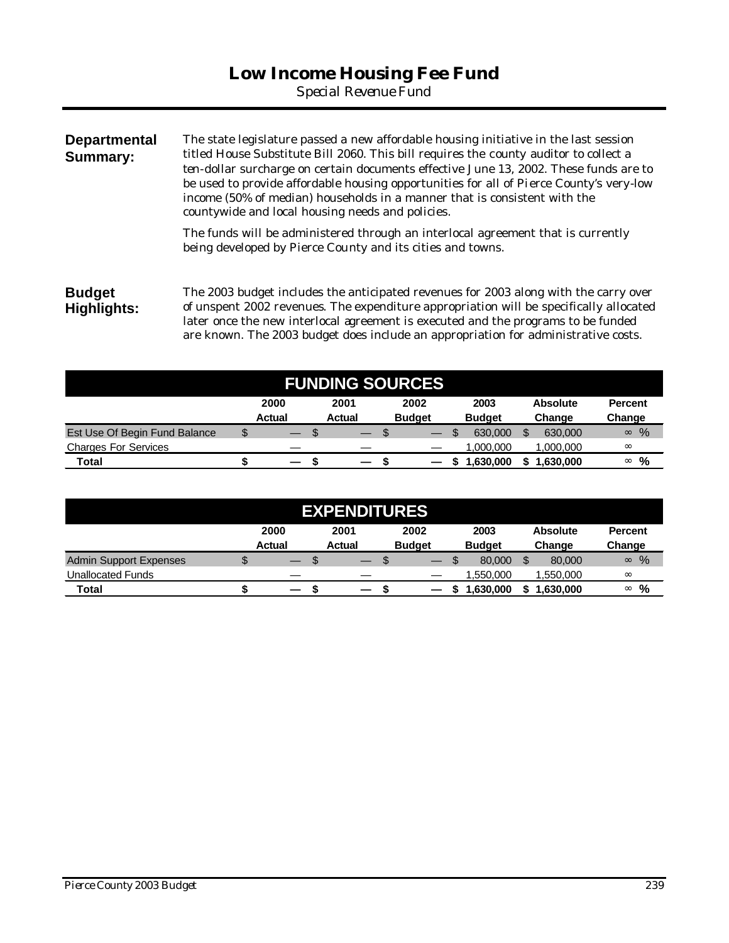*Special Revenue Fund*

| <b>Departmental</b><br><b>Summary:</b> | The state legislature passed a new affordable housing initiative in the last session<br>titled House Substitute Bill 2060. This bill requires the county auditor to collect a<br>ten-dollar surcharge on certain documents effective June 13, 2002. These funds are to<br>be used to provide affordable housing opportunities for all of Pierce County's very-low<br>income (50% of median) households in a manner that is consistent with the<br>countywide and local housing needs and policies. |  |  |  |  |  |  |
|----------------------------------------|----------------------------------------------------------------------------------------------------------------------------------------------------------------------------------------------------------------------------------------------------------------------------------------------------------------------------------------------------------------------------------------------------------------------------------------------------------------------------------------------------|--|--|--|--|--|--|
|                                        | The funds will be administered through an interlocal agreement that is currently<br>being developed by Pierce County and its cities and towns.                                                                                                                                                                                                                                                                                                                                                     |  |  |  |  |  |  |
| <b>Budget</b><br>Highlights:           | The 2003 budget includes the anticipated revenues for 2003 along with the carry over<br>of unspent 2002 revenues. The expenditure appropriation will be specifically allocated<br>later once the new interlocal agreement is executed and the programs to be funded                                                                                                                                                                                                                                |  |  |  |  |  |  |

| <b>FUNDING SOURCES</b>        |    |        |               |                          |  |               |  |               |   |                 |                  |
|-------------------------------|----|--------|---------------|--------------------------|--|---------------|--|---------------|---|-----------------|------------------|
|                               |    | 2000   | 2001          |                          |  | 2002          |  | 2003          |   | <b>Absolute</b> | <b>Percent</b>   |
|                               |    | Actual | <b>Actual</b> |                          |  | <b>Budget</b> |  | <b>Budget</b> |   | Change          | Change           |
| Est Use Of Begin Fund Balance | \$ |        | \$            | $\overline{\phantom{0}}$ |  |               |  | 630,000       | S | 630,000         | $\%$<br>$\infty$ |
| <b>Charges For Services</b>   |    |        |               |                          |  |               |  | .000.000      |   | 1,000,000       | $\infty$         |
| Total                         |    | -      |               | —                        |  |               |  | 1,630,000     |   | 1,630,000       | %<br>$\infty$    |

are known. The 2003 budget does include an appropriation for administrative costs.

| <b>EXPENDITURES</b>      |    |                          |                          |                          |                       |                           |                          |  |  |  |
|--------------------------|----|--------------------------|--------------------------|--------------------------|-----------------------|---------------------------|--------------------------|--|--|--|
|                          |    | 2000<br><b>Actual</b>    | 2001<br><b>Actual</b>    | 2002<br><b>Budget</b>    | 2003<br><b>Budget</b> | <b>Absolute</b><br>Change | <b>Percent</b><br>Change |  |  |  |
| Admin Support Expenses   | \$ | \$<br>—                  | –                        | $\overline{\phantom{0}}$ | 80,000                | 80,000                    | %<br>$\infty$            |  |  |  |
| <b>Unallocated Funds</b> |    |                          |                          |                          | ,550,000              | 000,050 ا                 | $\infty$                 |  |  |  |
| Total                    |    | $\overline{\phantom{0}}$ | $\overline{\phantom{0}}$ |                          | .630.000              | .630.000                  | %<br>$\infty$            |  |  |  |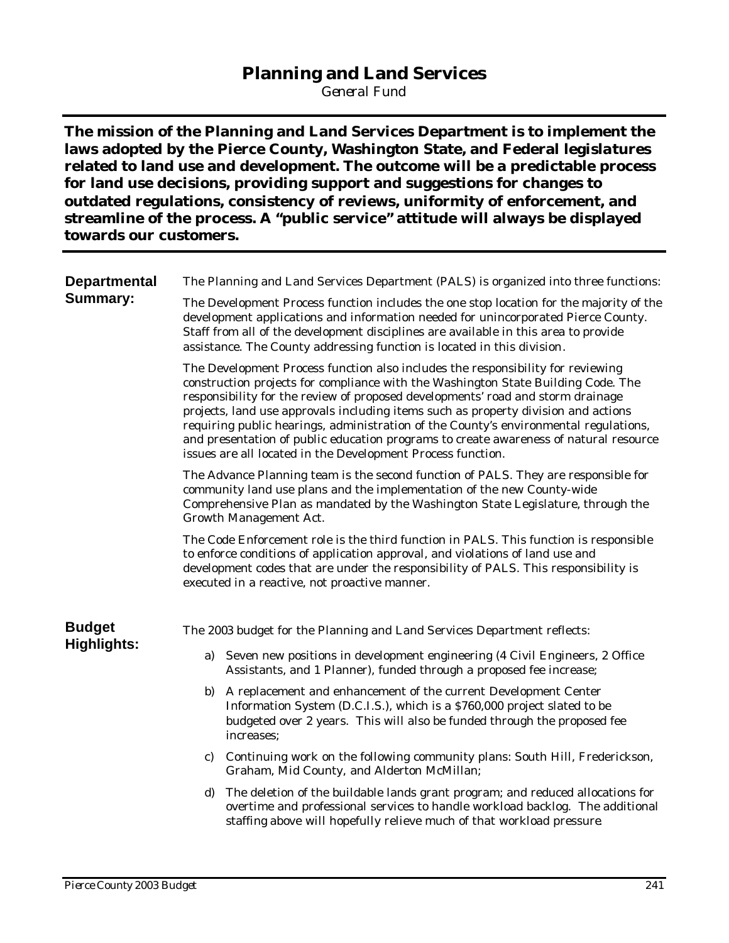## **Planning and Land Services**

*General Fund*

**The mission of the Planning and Land Services Department is to implement the laws adopted by the Pierce County, Washington State, and Federal legislatures related to land use and development. The outcome will be a predictable process for land use decisions, providing support and suggestions for changes to outdated regulations, consistency of reviews, uniformity of enforcement, and streamline of the process. A "public service" attitude will always be displayed towards our customers.**

| <b>Departmental</b> | The Planning and Land Services Department (PALS) is organized into three functions:                                                                                                                                                                                                                                                                                                                                                                                                                                                                                                           |  |  |  |  |  |  |  |  |  |  |
|---------------------|-----------------------------------------------------------------------------------------------------------------------------------------------------------------------------------------------------------------------------------------------------------------------------------------------------------------------------------------------------------------------------------------------------------------------------------------------------------------------------------------------------------------------------------------------------------------------------------------------|--|--|--|--|--|--|--|--|--|--|
| <b>Summary:</b>     | The Development Process function includes the one stop location for the majority of the<br>development applications and information needed for unincorporated Pierce County.<br>Staff from all of the development disciplines are available in this area to provide<br>assistance. The County addressing function is located in this division.                                                                                                                                                                                                                                                |  |  |  |  |  |  |  |  |  |  |
|                     | The Development Process function also includes the responsibility for reviewing<br>construction projects for compliance with the Washington State Building Code. The<br>responsibility for the review of proposed developments' road and storm drainage<br>projects, land use approvals including items such as property division and actions<br>requiring public hearings, administration of the County's environmental regulations,<br>and presentation of public education programs to create awareness of natural resource<br>issues are all located in the Development Process function. |  |  |  |  |  |  |  |  |  |  |
|                     | The Advance Planning team is the second function of PALS. They are responsible for<br>community land use plans and the implementation of the new County-wide<br>Comprehensive Plan as mandated by the Washington State Legislature, through the<br>Growth Management Act.                                                                                                                                                                                                                                                                                                                     |  |  |  |  |  |  |  |  |  |  |
|                     | The Code Enforcement role is the third function in PALS. This function is responsible<br>to enforce conditions of application approval, and violations of land use and<br>development codes that are under the responsibility of PALS. This responsibility is<br>executed in a reactive, not proactive manner.                                                                                                                                                                                                                                                                                |  |  |  |  |  |  |  |  |  |  |
| <b>Budget</b>       | The 2003 budget for the Planning and Land Services Department reflects:                                                                                                                                                                                                                                                                                                                                                                                                                                                                                                                       |  |  |  |  |  |  |  |  |  |  |
| <b>Highlights:</b>  | Seven new positions in development engineering (4 Civil Engineers, 2 Office<br>a)<br>Assistants, and 1 Planner), funded through a proposed fee increase;                                                                                                                                                                                                                                                                                                                                                                                                                                      |  |  |  |  |  |  |  |  |  |  |
|                     | A replacement and enhancement of the current Development Center<br>b)<br>Information System (D.C.I.S.), which is a \$760,000 project slated to be<br>budgeted over 2 years. This will also be funded through the proposed fee<br>increases:                                                                                                                                                                                                                                                                                                                                                   |  |  |  |  |  |  |  |  |  |  |
|                     | Continuing work on the following community plans: South Hill, Frederickson,<br>C)<br>Graham, Mid County, and Alderton McMillan;                                                                                                                                                                                                                                                                                                                                                                                                                                                               |  |  |  |  |  |  |  |  |  |  |
|                     | The deletion of the buildable lands grant program; and reduced allocations for<br>d)<br>overtime and professional services to handle workload backlog. The additional<br>staffing above will hopefully relieve much of that workload pressure.                                                                                                                                                                                                                                                                                                                                                |  |  |  |  |  |  |  |  |  |  |
|                     |                                                                                                                                                                                                                                                                                                                                                                                                                                                                                                                                                                                               |  |  |  |  |  |  |  |  |  |  |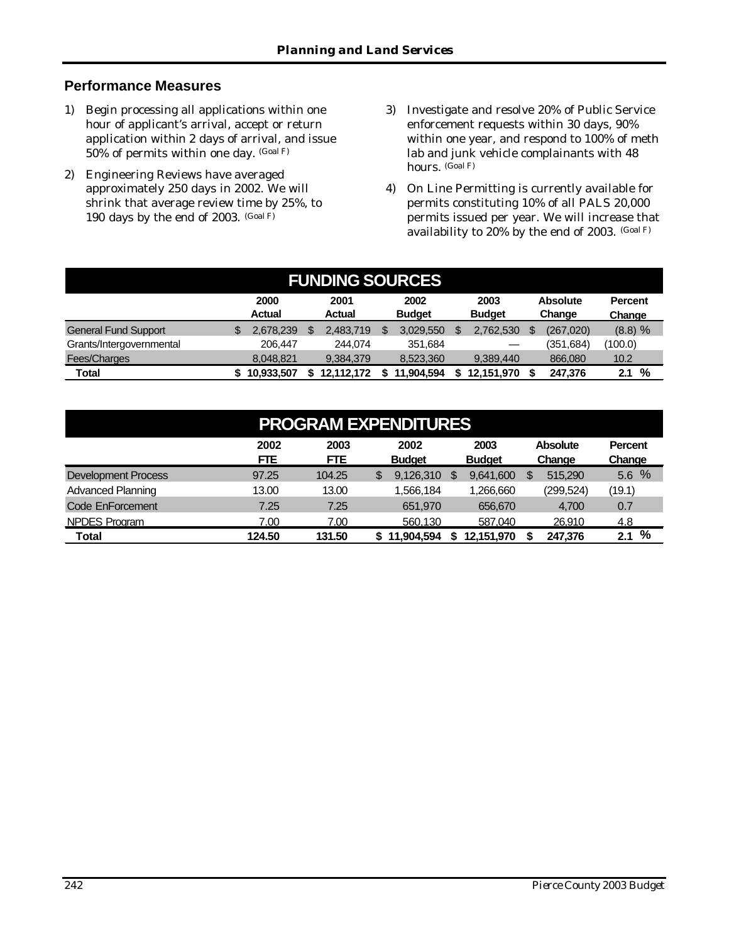#### **Performance Measures**

- 1) Begin processing all applications within one hour of applicant's arrival, accept or return application within 2 days of arrival, and issue 50% of permits within one day. (Goal F)
- 2) Engineering Reviews have averaged approximately 250 days in 2002. We will shrink that average review time by 25%, to 190 days by the end of 2003. (Goal F)
- 3) Investigate and resolve 20% of Public Service enforcement requests within 30 days, 90% within one year, and respond to 100% of meth lab and junk vehicle complainants with 48 hours. (Goal F)
- 4) On Line Permitting is currently available for permits constituting 10% of all PALS 20,000 permits issued per year. We will increase that availability to 20% by the end of 2003. (Goal F)

| <b>FUNDING SOURCES</b>      |  |                       |  |                       |  |                       |  |                       |    |                           |                          |   |
|-----------------------------|--|-----------------------|--|-----------------------|--|-----------------------|--|-----------------------|----|---------------------------|--------------------------|---|
|                             |  | 2000<br><b>Actual</b> |  | 2001<br><b>Actual</b> |  | 2002<br><b>Budget</b> |  | 2003<br><b>Budget</b> |    | <b>Absolute</b><br>Change | <b>Percent</b><br>Change |   |
| <b>General Fund Support</b> |  | 2.678.239             |  | 2.483.719             |  | 3.029.550             |  | 2,762,530             | \$ | (267, 020)                | $(8.8) \%$               |   |
| Grants/Intergovernmental    |  | 206,447               |  | 244.074               |  | 351.684               |  |                       |    | (351,684)                 | (100.0)                  |   |
| Fees/Charges                |  | 8.048.821             |  | 9.384.379             |  | 8.523.360             |  | 9.389.440             |    | 866,080                   | 10.2                     |   |
| Total                       |  | 10.933.507            |  | 12,112,172            |  | 11,904,594            |  | 12.151.970            |    | 247.376                   | 2.1                      | % |

| <b>PROGRAM EXPENDITURES</b> |                    |                    |                       |                       |                    |                          |  |  |  |  |  |
|-----------------------------|--------------------|--------------------|-----------------------|-----------------------|--------------------|--------------------------|--|--|--|--|--|
|                             | 2002<br><b>FTE</b> | 2003<br><b>FTE</b> | 2002<br><b>Budget</b> | 2003<br><b>Budget</b> | Absolute<br>Change | <b>Percent</b><br>Change |  |  |  |  |  |
| <b>Development Process</b>  | 97.25              | 104.25             | 9,126,310<br>S        | 9,641,600<br>S        | 515.290<br>\$.     | 5.6%                     |  |  |  |  |  |
| <b>Advanced Planning</b>    | 13.00              | 13.00              | 1,566,184             | 1,266,660             | (299, 524)         | (19.1)                   |  |  |  |  |  |
| <b>Code EnForcement</b>     | 7.25               | 7.25               | 651,970               | 656,670               | 4,700              | 0.7                      |  |  |  |  |  |
| <b>NPDES Program</b>        | 7.00               | 7.00               | 560.130               | 587.040               | 26.910             | 4.8                      |  |  |  |  |  |
| <b>Total</b>                | 124.50             | 131.50             | 11.904.594            | 12,151,970            | 247,376            | 2.1%                     |  |  |  |  |  |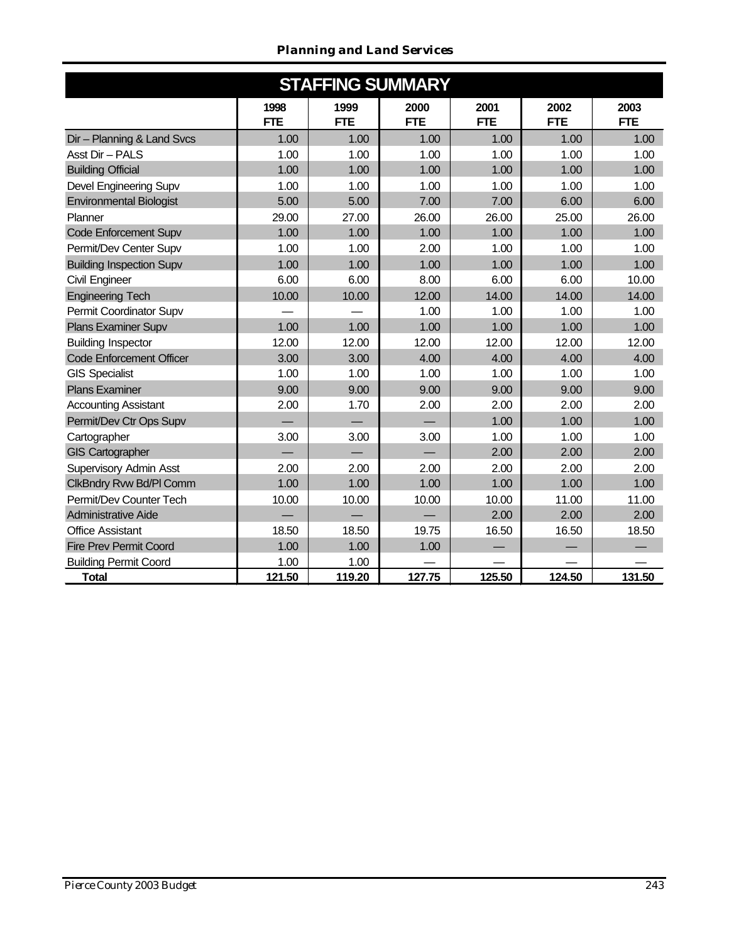#### *Planning and Land Services*

| <b>STAFFING SUMMARY</b>         |                    |                    |                    |                    |                    |                    |  |  |  |  |  |  |  |
|---------------------------------|--------------------|--------------------|--------------------|--------------------|--------------------|--------------------|--|--|--|--|--|--|--|
|                                 | 1998<br><b>FTE</b> | 1999<br><b>FTE</b> | 2000<br><b>FTE</b> | 2001<br><b>FTE</b> | 2002<br><b>FTE</b> | 2003<br><b>FTE</b> |  |  |  |  |  |  |  |
| Dir - Planning & Land Svcs      | 1.00               | 1.00               | 1.00               | 1.00               | 1.00               | 1.00               |  |  |  |  |  |  |  |
| Asst Dir - PALS                 | 1.00               | 1.00               | 1.00               | 1.00               | 1.00               | 1.00               |  |  |  |  |  |  |  |
| <b>Building Official</b>        | 1.00               | 1.00               | 1.00               | 1.00               | 1.00               | 1.00               |  |  |  |  |  |  |  |
| Devel Engineering Supv          | 1.00               | 1.00               | 1.00               | 1.00               | 1.00               | 1.00               |  |  |  |  |  |  |  |
| <b>Environmental Biologist</b>  | 5.00               | 5.00               | 7.00               | 7.00               | 6.00               | 6.00               |  |  |  |  |  |  |  |
| Planner                         | 29.00              | 27.00              | 26.00              | 26.00              | 25.00              | 26.00              |  |  |  |  |  |  |  |
| Code Enforcement Supv           | 1.00               | 1.00               | 1.00               | 1.00               | 1.00               | 1.00               |  |  |  |  |  |  |  |
| Permit/Dev Center Supv          | 1.00               | 1.00               | 2.00               | 1.00               | 1.00               | 1.00               |  |  |  |  |  |  |  |
| <b>Building Inspection Supv</b> | 1.00               | 1.00               | 1.00               | 1.00               | 1.00               | 1.00               |  |  |  |  |  |  |  |
| Civil Engineer                  | 6.00               | 6.00               | 8.00               | 6.00               | 6.00               | 10.00              |  |  |  |  |  |  |  |
| <b>Engineering Tech</b>         | 10.00              | 10.00              | 12.00              | 14.00              | 14.00              | 14.00              |  |  |  |  |  |  |  |
| Permit Coordinator Supv         |                    |                    | 1.00               | 1.00               | 1.00               | 1.00               |  |  |  |  |  |  |  |
| Plans Examiner Supv             | 1.00               | 1.00               | 1.00               | 1.00               | 1.00               | 1.00               |  |  |  |  |  |  |  |
| <b>Building Inspector</b>       | 12.00              | 12.00              | 12.00              | 12.00              | 12.00              | 12.00              |  |  |  |  |  |  |  |
| <b>Code Enforcement Officer</b> | 3.00               | 3.00               | 4.00               | 4.00               | 4.00               | 4.00               |  |  |  |  |  |  |  |
| <b>GIS Specialist</b>           | 1.00               | 1.00               | 1.00               | 1.00               | 1.00               | 1.00               |  |  |  |  |  |  |  |
| <b>Plans Examiner</b>           | 9.00               | 9.00               | 9.00               | 9.00               | 9.00               | 9.00               |  |  |  |  |  |  |  |
| <b>Accounting Assistant</b>     | 2.00               | 1.70               | 2.00               | 2.00               | 2.00               | 2.00               |  |  |  |  |  |  |  |
| Permit/Dev Ctr Ops Supv         |                    |                    |                    | 1.00               | 1.00               | 1.00               |  |  |  |  |  |  |  |
| Cartographer                    | 3.00               | 3.00               | 3.00               | 1.00               | 1.00               | 1.00               |  |  |  |  |  |  |  |
| <b>GIS Cartographer</b>         |                    |                    |                    | 2.00               | 2.00               | 2.00               |  |  |  |  |  |  |  |
| Supervisory Admin Asst          | 2.00               | 2.00               | 2.00               | 2.00               | 2.00               | 2.00               |  |  |  |  |  |  |  |
| ClkBndry Rvw Bd/Pl Comm         | 1.00               | 1.00               | 1.00               | 1.00               | 1.00               | 1.00               |  |  |  |  |  |  |  |
| Permit/Dev Counter Tech         | 10.00              | 10.00              | 10.00              | 10.00              | 11.00              | 11.00              |  |  |  |  |  |  |  |
| Administrative Aide             |                    |                    |                    | 2.00               | 2.00               | 2.00               |  |  |  |  |  |  |  |
| <b>Office Assistant</b>         | 18.50              | 18.50              | 19.75              | 16.50              | 16.50              | 18.50              |  |  |  |  |  |  |  |
| <b>Fire Prev Permit Coord</b>   | 1.00               | 1.00               | 1.00               |                    |                    |                    |  |  |  |  |  |  |  |
| <b>Building Permit Coord</b>    | 1.00               | 1.00               |                    |                    |                    |                    |  |  |  |  |  |  |  |
| <b>Total</b>                    | 121.50             | 119.20             | 127.75             | 125.50             | 124.50             | 131.50             |  |  |  |  |  |  |  |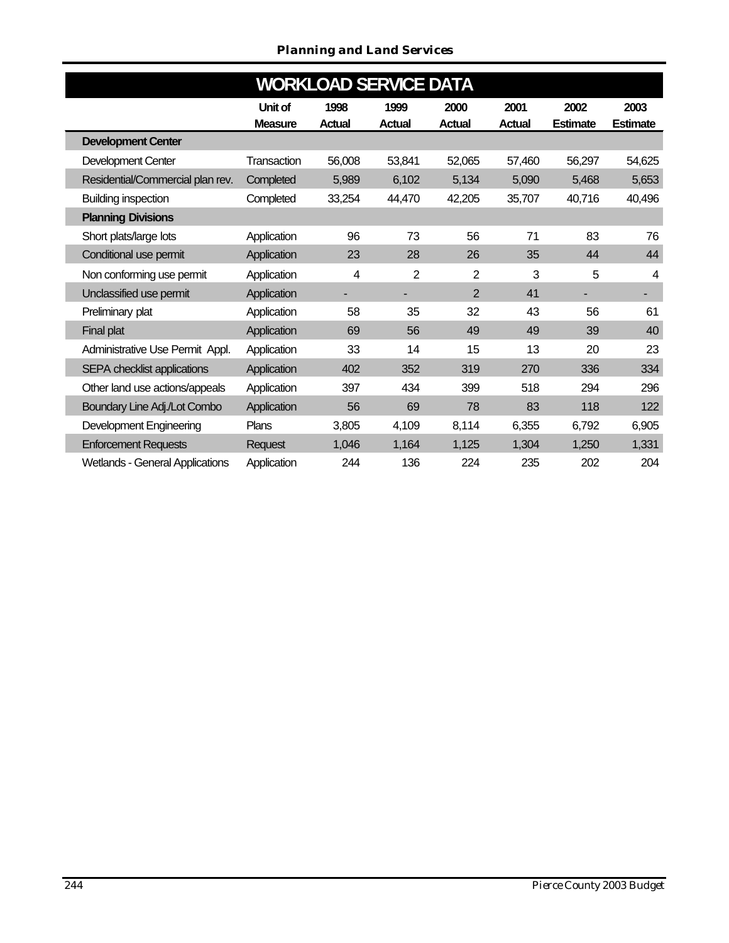#### *Planning and Land Services*

| <b>WORKLOAD SERVICE DATA</b> |                                        |                |               |                |                |               |                 |                 |  |  |  |  |
|------------------------------|----------------------------------------|----------------|---------------|----------------|----------------|---------------|-----------------|-----------------|--|--|--|--|
|                              |                                        | Unit of        | 1998          | 1999           | 2000           | 2001          | 2002            | 2003            |  |  |  |  |
|                              |                                        | <b>Measure</b> | <b>Actual</b> | <b>Actual</b>  | <b>Actual</b>  | <b>Actual</b> | <b>Estimate</b> | <b>Estimate</b> |  |  |  |  |
|                              | <b>Development Center</b>              |                |               |                |                |               |                 |                 |  |  |  |  |
|                              | Development Center                     | Transaction    | 56,008        | 53,841         | 52,065         | 57,460        | 56,297          | 54,625          |  |  |  |  |
|                              | Residential/Commercial plan rev.       | Completed      | 5,989         | 6,102          | 5,134          | 5,090         | 5,468           | 5,653           |  |  |  |  |
|                              | <b>Building inspection</b>             | Completed      | 33,254        | 44,470         | 42,205         | 35,707        | 40,716          | 40,496          |  |  |  |  |
|                              | <b>Planning Divisions</b>              |                |               |                |                |               |                 |                 |  |  |  |  |
|                              | Short plats/large lots                 | Application    | 96            | 73             | 56             | 71            | 83              | 76              |  |  |  |  |
|                              | Conditional use permit                 | Application    | 23            | 28             | 26             | 35            | 44              | 44              |  |  |  |  |
|                              | Non conforming use permit              | Application    | 4             | $\overline{2}$ | $\overline{2}$ | 3             | 5               | 4               |  |  |  |  |
|                              | Unclassified use permit                | Application    | ۰             | ۰              | $\overline{2}$ | 41            |                 |                 |  |  |  |  |
|                              | Preliminary plat                       | Application    | 58            | 35             | 32             | 43            | 56              | 61              |  |  |  |  |
|                              | Final plat                             | Application    | 69            | 56             | 49             | 49            | 39              | 40              |  |  |  |  |
|                              | Administrative Use Permit Appl.        | Application    | 33            | 14             | 15             | 13            | 20              | 23              |  |  |  |  |
|                              | SEPA checklist applications            | Application    | 402           | 352            | 319            | 270           | 336             | 334             |  |  |  |  |
|                              | Other land use actions/appeals         | Application    | 397           | 434            | 399            | 518           | 294             | 296             |  |  |  |  |
|                              | Boundary Line Adj./Lot Combo           | Application    | 56            | 69             | 78             | 83            | 118             | 122             |  |  |  |  |
|                              | Development Engineering                | Plans          | 3,805         | 4,109          | 8,114          | 6,355         | 6,792           | 6,905           |  |  |  |  |
|                              | <b>Enforcement Requests</b>            | <b>Request</b> | 1,046         | 1,164          | 1,125          | 1,304         | 1,250           | 1,331           |  |  |  |  |
|                              | <b>Wetlands - General Applications</b> | Application    | 244           | 136            | 224            | 235           | 202             | 204             |  |  |  |  |